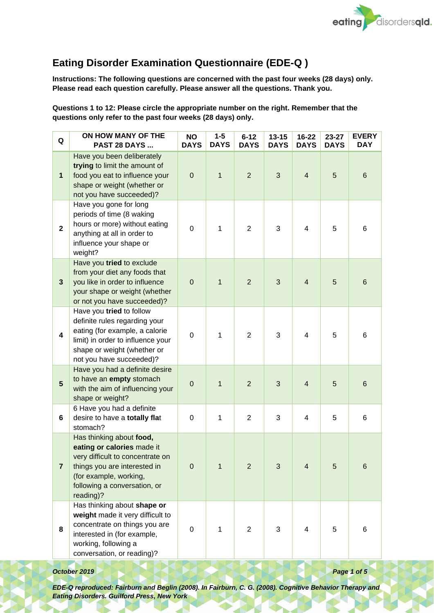

## **Eating Disorder Examination Questionnaire (EDE-Q )**

**Instructions: The following questions are concerned with the past four weeks (28 days) only. Please read each question carefully. Please answer all the questions. Thank you.**

**Questions 1 to 12: Please circle the appropriate number on the right. Remember that the questions only refer to the past four weeks (28 days) only.**

| Q                       | ON HOW MANY OF THE<br>PAST 28 DAYS                                                                                                                                                                | <b>NO</b><br><b>DAYS</b> | $1 - 5$<br><b>DAYS</b> | $6 - 12$<br><b>DAYS</b> | $13 - 15$<br><b>DAYS</b> | $16 - 22$<br><b>DAYS</b> | 23-27<br><b>DAYS</b> | <b>EVERY</b><br><b>DAY</b> |
|-------------------------|---------------------------------------------------------------------------------------------------------------------------------------------------------------------------------------------------|--------------------------|------------------------|-------------------------|--------------------------|--------------------------|----------------------|----------------------------|
| 1                       | Have you been deliberately<br>trying to limit the amount of<br>food you eat to influence your<br>shape or weight (whether or<br>not you have succeeded)?                                          | $\pmb{0}$                | 1                      | $\overline{2}$          | 3                        | $\overline{4}$           | 5                    | 6                          |
| $\mathbf{2}$            | Have you gone for long<br>periods of time (8 waking<br>hours or more) without eating<br>anything at all in order to<br>influence your shape or<br>weight?                                         | 0                        | 1                      | $\overline{2}$          | 3                        | 4                        | 5                    | 6                          |
| $\mathbf{3}$            | Have you tried to exclude<br>from your diet any foods that<br>you like in order to influence<br>your shape or weight (whether<br>or not you have succeeded)?                                      | $\mathbf 0$              | 1                      | $\overline{2}$          | 3                        | $\overline{4}$           | 5                    | 6                          |
| $\overline{\mathbf{4}}$ | Have you tried to follow<br>definite rules regarding your<br>eating (for example, a calorie<br>limit) in order to influence your<br>shape or weight (whether or<br>not you have succeeded)?       | 0                        | 1                      | 2                       | 3                        | 4                        | 5                    | 6                          |
| $5\phantom{.}$          | Have you had a definite desire<br>to have an empty stomach<br>with the aim of influencing your<br>shape or weight?                                                                                | $\mathbf 0$              | 1                      | $\overline{2}$          | 3                        | $\overline{4}$           | 5                    | 6                          |
| 6                       | 6 Have you had a definite<br>desire to have a totally flat<br>stomach?                                                                                                                            | 0                        | 1                      | $\overline{2}$          | 3                        | 4                        | 5                    | 6                          |
| $\overline{7}$          | Has thinking about food,<br>eating or calories made it<br>very difficult to concentrate on<br>things you are interested in<br>(for example, working,<br>following a conversation, or<br>reading)? | $\mathbf 0$              | 1                      | $\overline{2}$          | 3                        | $\overline{\mathbf{4}}$  | 5                    | 6                          |
| 8                       | Has thinking about shape or<br>weight made it very difficult to<br>concentrate on things you are<br>interested in (for example,<br>working, following a<br>conversation, or reading)?             | 0                        | 1                      | $\overline{2}$          | 3                        | 4                        | 5                    | 6                          |

#### *October 2019* **Page 1 of 5**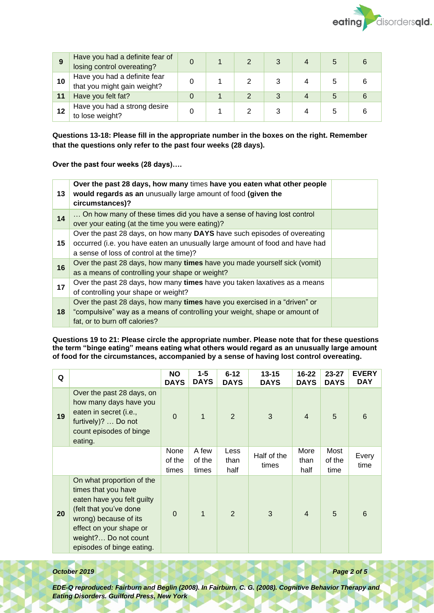

| 9  | Have you had a definite fear of<br>losing control overeating? |  |  |  |  |
|----|---------------------------------------------------------------|--|--|--|--|
| 10 | Have you had a definite fear<br>that you might gain weight?   |  |  |  |  |
|    | Have you felt fat?                                            |  |  |  |  |
| 12 | Have you had a strong desire<br>to lose weight?               |  |  |  |  |

**Questions 13-18: Please fill in the appropriate number in the boxes on the right. Remember that the questions only refer to the past four weeks (28 days).** 

**Over the past four weeks (28 days)….**

| 13 | Over the past 28 days, how many times have you eaten what other people<br>would regards as an unusually large amount of food (given the<br>circumstances)?                                           |  |
|----|------------------------------------------------------------------------------------------------------------------------------------------------------------------------------------------------------|--|
| 14 | On how many of these times did you have a sense of having lost control<br>over your eating (at the time you were eating)?                                                                            |  |
| 15 | Over the past 28 days, on how many DAYS have such episodes of overeating<br>occurred (i.e. you have eaten an unusually large amount of food and have had<br>a sense of loss of control at the time)? |  |
| 16 | Over the past 28 days, how many times have you made yourself sick (vomit)<br>as a means of controlling your shape or weight?                                                                         |  |
| 17 | Over the past 28 days, how many times have you taken laxatives as a means<br>of controlling your shape or weight?                                                                                    |  |
| 18 | Over the past 28 days, how many times have you exercised in a "driven" or<br>"compulsive" way as a means of controlling your weight, shape or amount of<br>fat, or to burn off calories?             |  |

**Questions 19 to 21: Please circle the appropriate number. Please note that for these questions the term "binge eating" means eating what others would regard as an unusually large amount of food for the circumstances, accompanied by a sense of having lost control overeating.**

| Q  |                                                                                                                                                                                                                   | <b>NO</b><br><b>DAYS</b> | $1 - 5$<br><b>DAYS</b>   | $6 - 12$<br><b>DAYS</b> | $13 - 15$<br><b>DAYS</b> | 16-22<br><b>DAYS</b> | $23 - 27$<br><b>DAYS</b> | <b>EVERY</b><br><b>DAY</b> |
|----|-------------------------------------------------------------------------------------------------------------------------------------------------------------------------------------------------------------------|--------------------------|--------------------------|-------------------------|--------------------------|----------------------|--------------------------|----------------------------|
| 19 | Over the past 28 days, on<br>how many days have you<br>eaten in secret (i.e.,<br>furtively)?  Do not<br>count episodes of binge<br>eating.                                                                        | $\Omega$                 | $\mathbf 1$              | $\overline{2}$          | 3                        | $\overline{4}$       | 5                        | 6                          |
|    |                                                                                                                                                                                                                   | None<br>of the<br>times  | A few<br>of the<br>times | Less<br>than<br>half    | Half of the<br>times     | More<br>than<br>half | Most<br>of the<br>time   | Every<br>time              |
| 20 | On what proportion of the<br>times that you have<br>eaten have you felt guilty<br>(felt that you've done<br>wrong) because of its<br>effect on your shape or<br>weight? Do not count<br>episodes of binge eating. | $\Omega$                 | $\mathbf{1}$             | $\overline{2}$          | 3                        | $\overline{4}$       | 5                        | 6                          |

#### *October 2019 Page 2 of 5*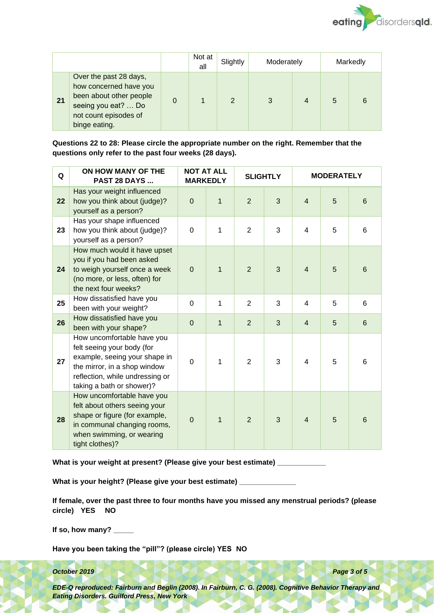

|    |                                                                                                                                              | Not at<br>all | Slightly | Moderately |   | Markedly |  |
|----|----------------------------------------------------------------------------------------------------------------------------------------------|---------------|----------|------------|---|----------|--|
| 21 | Over the past 28 days,<br>how concerned have you<br>been about other people<br>seeing you eat?  Do<br>not count episodes of<br>binge eating. |               | 2        |            | 4 | 5        |  |

**Questions 22 to 28: Please circle the appropriate number on the right. Remember that the questions only refer to the past four weeks (28 days).**

| Q  | ON HOW MANY OF THE<br><b>PAST 28 DAYS</b>                                                                                                                                                 | <b>NOT AT ALL</b> | <b>MARKEDLY</b> |                | <b>MODERATELY</b><br><b>SLIGHTLY</b> |                         |   |   |
|----|-------------------------------------------------------------------------------------------------------------------------------------------------------------------------------------------|-------------------|-----------------|----------------|--------------------------------------|-------------------------|---|---|
| 22 | Has your weight influenced<br>how you think about (judge)?<br>yourself as a person?                                                                                                       | $\overline{0}$    | $\mathbf 1$     | 2              | 3                                    | $\overline{4}$          | 5 | 6 |
| 23 | Has your shape influenced<br>how you think about (judge)?<br>yourself as a person?                                                                                                        | $\overline{0}$    | 1               | $\overline{2}$ | 3                                    | 4                       | 5 | 6 |
| 24 | How much would it have upset<br>you if you had been asked<br>to weigh yourself once a week<br>(no more, or less, often) for<br>the next four weeks?                                       | $\overline{0}$    | 1               | 2              | 3                                    | $\overline{4}$          | 5 | 6 |
| 25 | How dissatisfied have you<br>been with your weight?                                                                                                                                       | 0                 | 1               | 2              | 3                                    | $\overline{\mathbf{4}}$ | 5 | 6 |
| 26 | How dissatisfied have you<br>been with your shape?                                                                                                                                        | $\mathbf 0$       | $\mathbf{1}$    | $\overline{2}$ | 3                                    | $\overline{4}$          | 5 | 6 |
| 27 | How uncomfortable have you<br>felt seeing your body (for<br>example, seeing your shape in<br>the mirror, in a shop window<br>reflection, while undressing or<br>taking a bath or shower)? | $\mathbf 0$       | 1               | 2              | 3                                    | 4                       | 5 | 6 |
| 28 | How uncomfortable have you<br>felt about others seeing your<br>shape or figure (for example,<br>in communal changing rooms,<br>when swimming, or wearing<br>tight clothes)?               | $\overline{0}$    | 1               | $\overline{2}$ | 3                                    | $\overline{4}$          | 5 | 6 |

**What is your weight at present? (Please give your best estimate) \_\_\_\_\_\_\_\_\_\_\_\_**

What is your height? (Please give your best estimate) \_\_

**If female, over the past three to four months have you missed any menstrual periods? (please circle) YES NO**

**If so, how many? \_\_\_\_\_**

**Have you been taking the "pill"? (please circle) YES NO**

#### *October 2019 Page 3 of 5*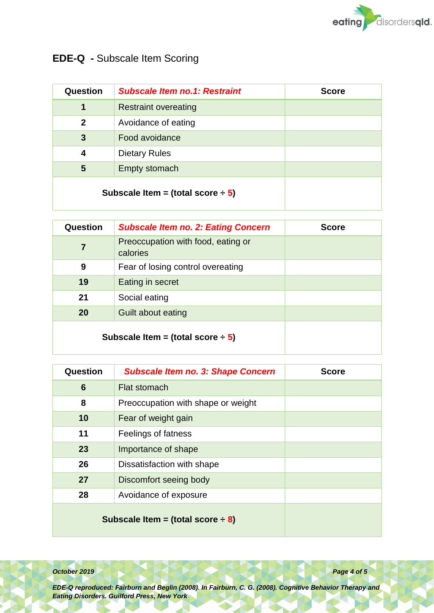

# **EDE-Q -** Subscale Item Scoring

| Question                               | <b>Subscale Item no.1: Restraint</b> | <b>Score</b> |
|----------------------------------------|--------------------------------------|--------------|
| 1                                      | <b>Restraint overeating</b>          |              |
| $\mathbf{2}$                           | Avoidance of eating                  |              |
| $\mathbf{3}$                           | Food avoidance                       |              |
| 4                                      | <b>Dietary Rules</b>                 |              |
| 5                                      | Empty stomach                        |              |
| Subscale Item = (total score $\div$ 5) |                                      |              |

| Question                               | <b>Subscale Item no. 2: Eating Concern</b>     | <b>Score</b> |
|----------------------------------------|------------------------------------------------|--------------|
| 7                                      | Preoccupation with food, eating or<br>calories |              |
| 9                                      | Fear of losing control overeating              |              |
| 19                                     | Eating in secret                               |              |
| 21                                     | Social eating                                  |              |
| 20                                     | Guilt about eating                             |              |
| Subscale Item = (total score $\div$ 5) |                                                |              |

| Question                               | <b>Subscale Item no. 3: Shape Concern</b> | <b>Score</b> |
|----------------------------------------|-------------------------------------------|--------------|
| 6                                      | Flat stomach                              |              |
| 8                                      | Preoccupation with shape or weight        |              |
| 10                                     | Fear of weight gain                       |              |
| 11                                     | Feelings of fatness                       |              |
| 23                                     | Importance of shape                       |              |
| 26                                     | Dissatisfaction with shape                |              |
| 27                                     | Discomfort seeing body                    |              |
| 28                                     | Avoidance of exposure                     |              |
| Subscale Item = (total score $\div$ 8) |                                           |              |

*October 2019 Page 4 of 5*